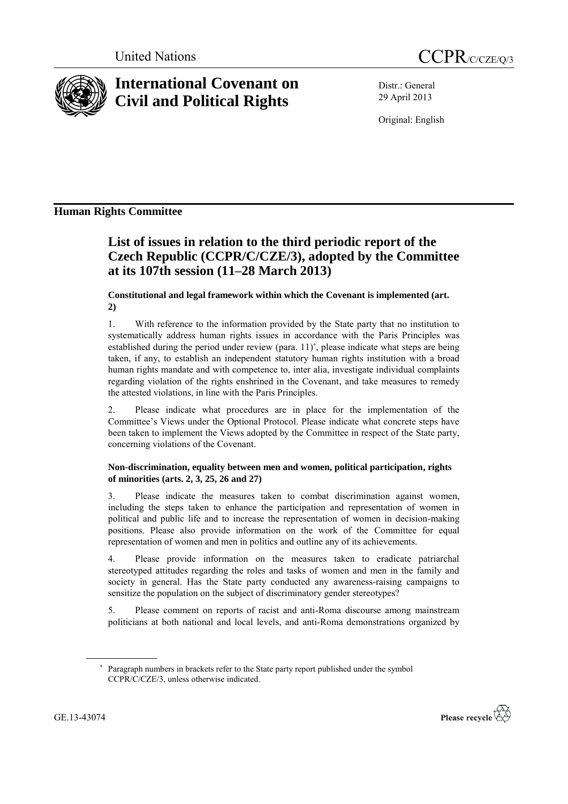



# **International Covenant on Civil and Political Rights**

Distr.: General 29 April 2013

Original: English

# **Human Rights Committee**

# **List of issues in relation to the third periodic report of the Czech Republic (CCPR/C/CZE/3), adopted by the Committee at its 107th session (11–28 March 2013)**

### **Constitutional and legal framework within which the Covenant is implemented (art. 2)**

1. With reference to the information provided by the State party that no institution to systematically address human rights issues in accordance with the Paris Principles was established during the period under review (para. 11)<sup>\*</sup>, please indicate what steps are being taken, if any, to establish an independent statutory human rights institution with a broad human rights mandate and with competence to, inter alia, investigate individual complaints regarding violation of the rights enshrined in the Covenant, and take measures to remedy the attested violations, in line with the Paris Principles.

2. Please indicate what procedures are in place for the implementation of the Committee's Views under the Optional Protocol. Please indicate what concrete steps have been taken to implement the Views adopted by the Committee in respect of the State party, concerning violations of the Covenant.

## **Non-discrimination, equality between men and women, political participation, rights of minorities (arts. 2, 3, 25, 26 and 27)**

3. Please indicate the measures taken to combat discrimination against women, including the steps taken to enhance the participation and representation of women in political and public life and to increase the representation of women in decision-making positions. Please also provide information on the work of the Committee for equal representation of women and men in politics and outline any of its achievements.

4. Please provide information on the measures taken to eradicate patriarchal stereotyped attitudes regarding the roles and tasks of women and men in the family and society in general. Has the State party conducted any awareness-raising campaigns to sensitize the population on the subject of discriminatory gender stereotypes?

5. Please comment on reports of racist and anti-Roma discourse among mainstream politicians at both national and local levels, and anti-Roma demonstrations organized by

Paragraph numbers in brackets refer to the State party report published under the symbol CCPR/C/CZE/3, unless otherwise indicated.

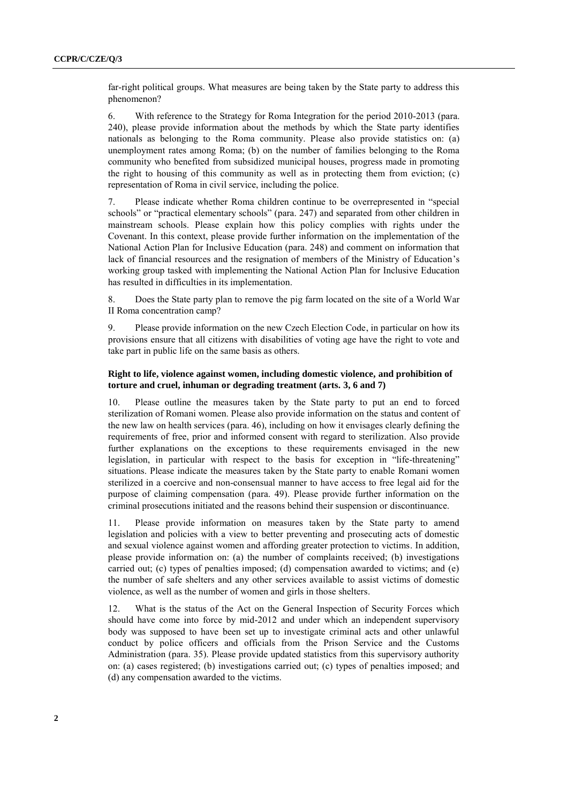far-right political groups. What measures are being taken by the State party to address this phenomenon?

6. With reference to the Strategy for Roma Integration for the period 2010-2013 (para. 240), please provide information about the methods by which the State party identifies nationals as belonging to the Roma community. Please also provide statistics on: (a) unemployment rates among Roma; (b) on the number of families belonging to the Roma community who benefited from subsidized municipal houses, progress made in promoting the right to housing of this community as well as in protecting them from eviction; (c) representation of Roma in civil service, including the police.

7. Please indicate whether Roma children continue to be overrepresented in "special schools" or "practical elementary schools" (para. 247) and separated from other children in mainstream schools. Please explain how this policy complies with rights under the Covenant. In this context, please provide further information on the implementation of the National Action Plan for Inclusive Education (para. 248) and comment on information that lack of financial resources and the resignation of members of the Ministry of Education's working group tasked with implementing the National Action Plan for Inclusive Education has resulted in difficulties in its implementation.

8. Does the State party plan to remove the pig farm located on the site of a World War II Roma concentration camp?

9. Please provide information on the new Czech Election Code, in particular on how its provisions ensure that all citizens with disabilities of voting age have the right to vote and take part in public life on the same basis as others.

#### **Right to life, violence against women, including domestic violence, and prohibition of torture and cruel, inhuman or degrading treatment (arts. 3, 6 and 7)**

10. Please outline the measures taken by the State party to put an end to forced sterilization of Romani women. Please also provide information on the status and content of the new law on health services (para. 46), including on how it envisages clearly defining the requirements of free, prior and informed consent with regard to sterilization. Also provide further explanations on the exceptions to these requirements envisaged in the new legislation, in particular with respect to the basis for exception in "life-threatening" situations. Please indicate the measures taken by the State party to enable Romani women sterilized in a coercive and non-consensual manner to have access to free legal aid for the purpose of claiming compensation (para. 49). Please provide further information on the criminal prosecutions initiated and the reasons behind their suspension or discontinuance.

11. Please provide information on measures taken by the State party to amend legislation and policies with a view to better preventing and prosecuting acts of domestic and sexual violence against women and affording greater protection to victims. In addition, please provide information on: (a) the number of complaints received; (b) investigations carried out; (c) types of penalties imposed; (d) compensation awarded to victims; and (e) the number of safe shelters and any other services available to assist victims of domestic violence, as well as the number of women and girls in those shelters.

12. What is the status of the Act on the General Inspection of Security Forces which should have come into force by mid-2012 and under which an independent supervisory body was supposed to have been set up to investigate criminal acts and other unlawful conduct by police officers and officials from the Prison Service and the Customs Administration (para. 35). Please provide updated statistics from this supervisory authority on: (a) cases registered; (b) investigations carried out; (c) types of penalties imposed; and (d) any compensation awarded to the victims.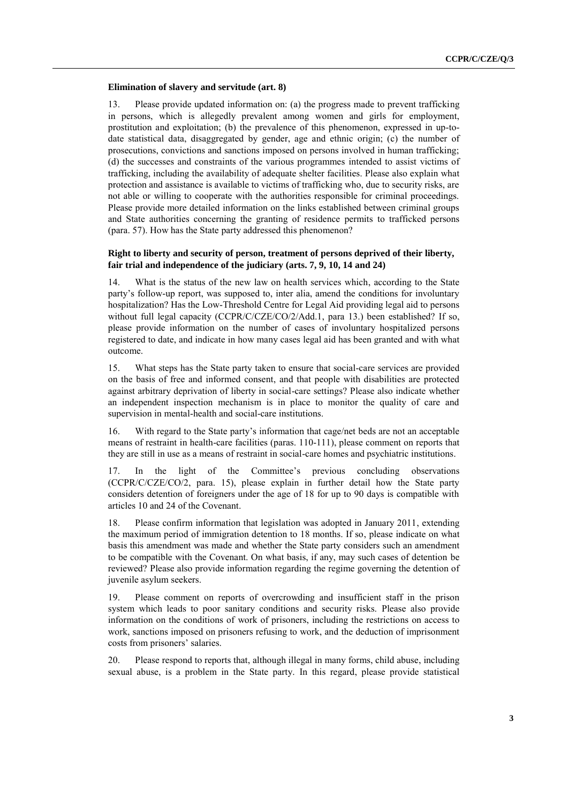#### **Elimination of slavery and servitude (art. 8)**

13. Please provide updated information on: (a) the progress made to prevent trafficking in persons, which is allegedly prevalent among women and girls for employment, prostitution and exploitation; (b) the prevalence of this phenomenon, expressed in up-todate statistical data, disaggregated by gender, age and ethnic origin; (c) the number of prosecutions, convictions and sanctions imposed on persons involved in human trafficking; (d) the successes and constraints of the various programmes intended to assist victims of trafficking, including the availability of adequate shelter facilities. Please also explain what protection and assistance is available to victims of trafficking who, due to security risks, are not able or willing to cooperate with the authorities responsible for criminal proceedings. Please provide more detailed information on the links established between criminal groups and State authorities concerning the granting of residence permits to trafficked persons (para. 57). How has the State party addressed this phenomenon?

#### **Right to liberty and security of person, treatment of persons deprived of their liberty, fair trial and independence of the judiciary (arts. 7, 9, 10, 14 and 24)**

14. What is the status of the new law on health services which, according to the State party's follow-up report, was supposed to, inter alia, amend the conditions for involuntary hospitalization? Has the Low-Threshold Centre for Legal Aid providing legal aid to persons without full legal capacity (CCPR/C/CZE/CO/2/Add.1, para 13.) been established? If so, please provide information on the number of cases of involuntary hospitalized persons registered to date, and indicate in how many cases legal aid has been granted and with what outcome.

15. What steps has the State party taken to ensure that social-care services are provided on the basis of free and informed consent, and that people with disabilities are protected against arbitrary deprivation of liberty in social-care settings? Please also indicate whether an independent inspection mechanism is in place to monitor the quality of care and supervision in mental-health and social-care institutions.

16. With regard to the State party's information that cage/net beds are not an acceptable means of restraint in health-care facilities (paras. 110-111), please comment on reports that they are still in use as a means of restraint in social-care homes and psychiatric institutions.

17. In the light of the Committee's previous concluding observations (CCPR/C/CZE/CO/2, para. 15), please explain in further detail how the State party considers detention of foreigners under the age of 18 for up to 90 days is compatible with articles 10 and 24 of the Covenant.

18. Please confirm information that legislation was adopted in January 2011, extending the maximum period of immigration detention to 18 months. If so, please indicate on what basis this amendment was made and whether the State party considers such an amendment to be compatible with the Covenant. On what basis, if any, may such cases of detention be reviewed? Please also provide information regarding the regime governing the detention of juvenile asylum seekers.

19. Please comment on reports of overcrowding and insufficient staff in the prison system which leads to poor sanitary conditions and security risks. Please also provide information on the conditions of work of prisoners, including the restrictions on access to work, sanctions imposed on prisoners refusing to work, and the deduction of imprisonment costs from prisoners' salaries.

20. Please respond to reports that, although illegal in many forms, child abuse, including sexual abuse, is a problem in the State party. In this regard, please provide statistical